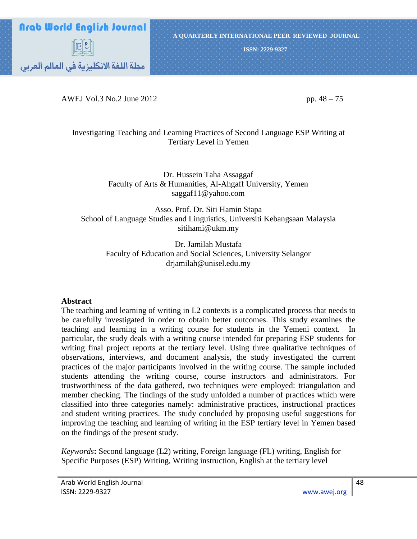

AWEJ Vol.3 No.2 June 2012 pp. 48 – 75

### Investigating Teaching and Learning Practices of Second Language ESP Writing at Tertiary Level in Yemen

Dr. Hussein Taha Assaggaf Faculty of Arts & Humanities, Al-Ahgaff University, Yemen saggaf11@yahoo.com

Asso. Prof. Dr. Siti Hamin Stapa School of Language Studies and Linguistics, Universiti Kebangsaan Malaysia sitihami@ukm.my

> Dr. Jamilah Mustafa Faculty of Education and Social Sciences, University Selangor drjamilah@unisel.edu.my

#### **Abstract**

The teaching and learning of writing in L2 contexts is a complicated process that needs to be carefully investigated in order to obtain better outcomes. This study examines the teaching and learning in a writing course for students in the Yemeni context. In particular, the study deals with a writing course intended for preparing ESP students for writing final project reports at the tertiary level. Using three qualitative techniques of observations, interviews, and document analysis, the study investigated the current practices of the major participants involved in the writing course. The sample included students attending the writing course, course instructors and administrators. For trustworthiness of the data gathered, two techniques were employed: triangulation and member checking. The findings of the study unfolded a number of practices which were classified into three categories namely: administrative practices, instructional practices and student writing practices. The study concluded by proposing useful suggestions for improving the teaching and learning of writing in the ESP tertiary level in Yemen based on the findings of the present study.

*Keywords***:** Second language (L2) writing, Foreign language (FL) writing, English for Specific Purposes (ESP) Writing, Writing instruction, English at the tertiary level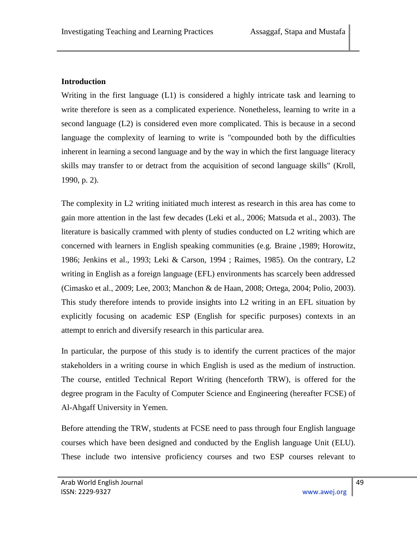### **Introduction**

Writing in the first language (L1) is considered a highly intricate task and learning to write therefore is seen as a complicated experience. Nonetheless, learning to write in a second language (L2) is considered even more complicated. This is because in a second language the complexity of learning to write is "compounded both by the difficulties inherent in learning a second language and by the way in which the first language literacy skills may transfer to or detract from the acquisition of second language skills" (Kroll, 1990, p. 2).

The complexity in L2 writing initiated much interest as research in this area has come to gain more attention in the last few decades (Leki et al., 2006; Matsuda et al., 2003). The literature is basically crammed with plenty of studies conducted on L2 writing which are concerned with learners in English speaking communities (e.g. Braine ,1989; Horowitz, 1986; Jenkins et al., 1993; Leki & Carson, 1994 ; Raimes, 1985). On the contrary, L2 writing in English as a foreign language (EFL) environments has scarcely been addressed (Cimasko et al., 2009; Lee, 2003; Manchon & de Haan, 2008; Ortega, 2004; Polio, 2003). This study therefore intends to provide insights into L2 writing in an EFL situation by explicitly focusing on academic ESP (English for specific purposes) contexts in an attempt to enrich and diversify research in this particular area.

In particular, the purpose of this study is to identify the current practices of the major stakeholders in a writing course in which English is used as the medium of instruction. The course, entitled Technical Report Writing (henceforth TRW), is offered for the degree program in the Faculty of Computer Science and Engineering (hereafter FCSE) of Al-Ahgaff University in Yemen.

Before attending the TRW, students at FCSE need to pass through four English language courses which have been designed and conducted by the English language Unit (ELU). These include two intensive proficiency courses and two ESP courses relevant to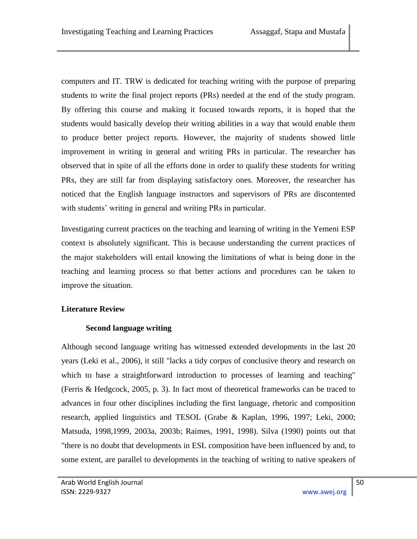computers and IT. TRW is dedicated for teaching writing with the purpose of preparing students to write the final project reports (PRs) needed at the end of the study program. By offering this course and making it focused towards reports, it is hoped that the students would basically develop their writing abilities in a way that would enable them to produce better project reports. However, the majority of students showed little improvement in writing in general and writing PRs in particular. The researcher has observed that in spite of all the efforts done in order to qualify these students for writing PRs, they are still far from displaying satisfactory ones. Moreover, the researcher has noticed that the English language instructors and supervisors of PRs are discontented with students' writing in general and writing PRs in particular.

Investigating current practices on the teaching and learning of writing in the Yemeni ESP context is absolutely significant. This is because understanding the current practices of the major stakeholders will entail knowing the limitations of what is being done in the teaching and learning process so that better actions and procedures can be taken to improve the situation.

# **Literature Review**

### **Second language writing**

Although second language writing has witnessed extended developments in the last 20 years (Leki et al., 2006), it still "lacks a tidy corpus of conclusive theory and research on which to base a straightforward introduction to processes of learning and teaching" (Ferris & Hedgcock, 2005, p. 3). In fact most of theoretical frameworks can be traced to advances in four other disciplines including the first language, rhetoric and composition research, applied linguistics and TESOL (Grabe & Kaplan, 1996, 1997; Leki, 2000; Matsuda, 1998,1999, 2003a, 2003b; Raimes, 1991, 1998). Silva (1990) points out that "there is no doubt that developments in ESL composition have been influenced by and, to some extent, are parallel to developments in the teaching of writing to native speakers of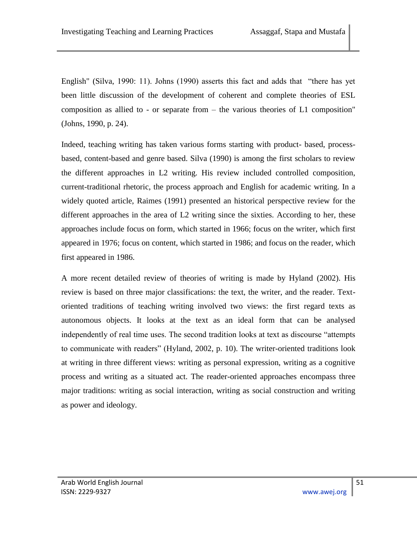English" (Silva, 1990: 11). Johns (1990) asserts this fact and adds that "there has yet been little discussion of the development of coherent and complete theories of ESL composition as allied to - or separate from – the various theories of L1 composition" (Johns, 1990, p. 24).

Indeed, teaching writing has taken various forms starting with product- based, processbased, content-based and genre based. Silva (1990) is among the first scholars to review the different approaches in L2 writing. His review included controlled composition, current-traditional rhetoric, the process approach and English for academic writing. In a widely quoted article, Raimes (1991) presented an historical perspective review for the different approaches in the area of L2 writing since the sixties. According to her, these approaches include focus on form, which started in 1966; focus on the writer, which first appeared in 1976; focus on content, which started in 1986; and focus on the reader, which first appeared in 1986.

A more recent detailed review of theories of writing is made by Hyland (2002). His review is based on three major classifications: the text, the writer, and the reader. Textoriented traditions of teaching writing involved two views: the first regard texts as autonomous objects. It looks at the text as an ideal form that can be analysed independently of real time uses. The second tradition looks at text as discourse "attempts" to communicate with readers" (Hyland, 2002, p. 10). The writer-oriented traditions look at writing in three different views: writing as personal expression, writing as a cognitive process and writing as a situated act. The reader-oriented approaches encompass three major traditions: writing as social interaction, writing as social construction and writing as power and ideology.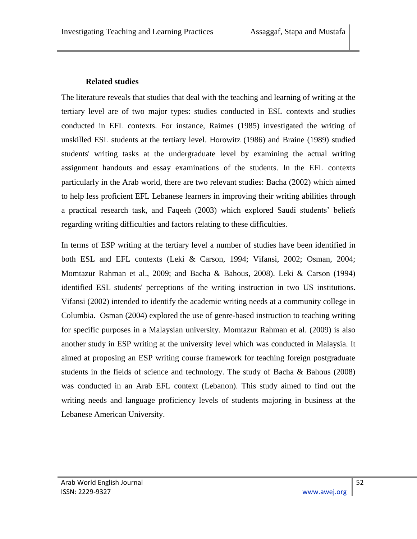### **Related studies**

The literature reveals that studies that deal with the teaching and learning of writing at the tertiary level are of two major types: studies conducted in ESL contexts and studies conducted in EFL contexts. For instance, Raimes (1985) investigated the writing of unskilled ESL students at the tertiary level. Horowitz (1986) and Braine (1989) studied students' writing tasks at the undergraduate level by examining the actual writing assignment handouts and essay examinations of the students. In the EFL contexts particularly in the Arab world, there are two relevant studies: Bacha (2002) which aimed to help less proficient EFL Lebanese learners in improving their writing abilities through a practical research task, and Faqeeh (2003) which explored Saudi students' beliefs regarding writing difficulties and factors relating to these difficulties.

In terms of ESP writing at the tertiary level a number of studies have been identified in both ESL and EFL contexts (Leki & Carson, 1994; Vifansi, 2002; Osman, 2004; Momtazur Rahman et al., 2009; and Bacha & Bahous, 2008). Leki & Carson (1994) identified ESL students' perceptions of the writing instruction in two US institutions. Vifansi (2002) intended to identify the academic writing needs at a community college in Columbia. Osman (2004) explored the use of genre-based instruction to teaching writing for specific purposes in a Malaysian university. Momtazur Rahman et al. (2009) is also another study in ESP writing at the university level which was conducted in Malaysia. It aimed at proposing an ESP writing course framework for teaching foreign postgraduate students in the fields of science and technology. The study of Bacha & Bahous (2008) was conducted in an Arab EFL context (Lebanon). This study aimed to find out the writing needs and language proficiency levels of students majoring in business at the Lebanese American University.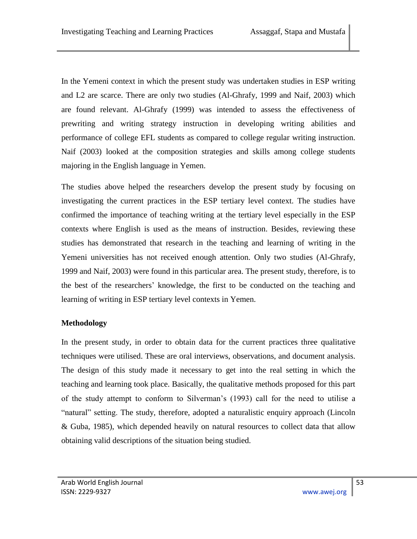In the Yemeni context in which the present study was undertaken studies in ESP writing and L2 are scarce. There are only two studies (Al-Ghrafy, 1999 and Naif, 2003) which are found relevant. Al-Ghrafy (1999) was intended to assess the effectiveness of prewriting and writing strategy instruction in developing writing abilities and performance of college EFL students as compared to college regular writing instruction. Naif (2003) looked at the composition strategies and skills among college students majoring in the English language in Yemen.

The studies above helped the researchers develop the present study by focusing on investigating the current practices in the ESP tertiary level context. The studies have confirmed the importance of teaching writing at the tertiary level especially in the ESP contexts where English is used as the means of instruction. Besides, reviewing these studies has demonstrated that research in the teaching and learning of writing in the Yemeni universities has not received enough attention. Only two studies (Al-Ghrafy, 1999 and Naif, 2003) were found in this particular area. The present study, therefore, is to the best of the researchers' knowledge, the first to be conducted on the teaching and learning of writing in ESP tertiary level contexts in Yemen.

# **Methodology**

In the present study, in order to obtain data for the current practices three qualitative techniques were utilised. These are oral interviews, observations, and document analysis. The design of this study made it necessary to get into the real setting in which the teaching and learning took place. Basically, the qualitative methods proposed for this part of the study attempt to conform to Silverman's (1993) call for the need to utilise a "natural" setting. The study, therefore, adopted a naturalistic enquiry approach (Lincoln & Guba, 1985), which depended heavily on natural resources to collect data that allow obtaining valid descriptions of the situation being studied.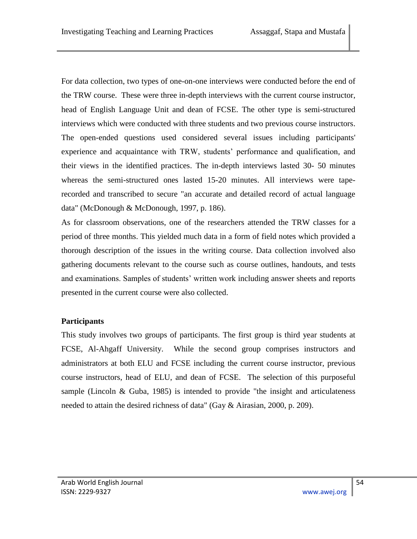For data collection, two types of one-on-one interviews were conducted before the end of the TRW course. These were three in-depth interviews with the current course instructor, head of English Language Unit and dean of FCSE. The other type is semi-structured interviews which were conducted with three students and two previous course instructors. The open-ended questions used considered several issues including participants' experience and acquaintance with TRW, students' performance and qualification, and their views in the identified practices. The in-depth interviews lasted 30- 50 minutes whereas the semi-structured ones lasted 15-20 minutes. All interviews were taperecorded and transcribed to secure "an accurate and detailed record of actual language data" (McDonough & McDonough, 1997, p. 186).

As for classroom observations, one of the researchers attended the TRW classes for a period of three months. This yielded much data in a form of field notes which provided a thorough description of the issues in the writing course. Data collection involved also gathering documents relevant to the course such as course outlines, handouts, and tests and examinations. Samples of students' written work including answer sheets and reports presented in the current course were also collected.

# **Participants**

This study involves two groups of participants. The first group is third year students at FCSE, Al-Ahgaff University. While the second group comprises instructors and administrators at both ELU and FCSE including the current course instructor, previous course instructors, head of ELU, and dean of FCSE. The selection of this purposeful sample (Lincoln & Guba, 1985) is intended to provide "the insight and articulateness needed to attain the desired richness of data" (Gay & Airasian, 2000, p. 209).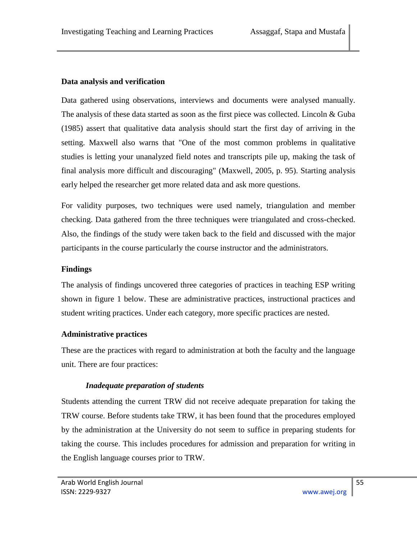### **Data analysis and verification**

Data gathered using observations, interviews and documents were analysed manually. The analysis of these data started as soon as the first piece was collected. Lincoln & Guba (1985) assert that qualitative data analysis should start the first day of arriving in the setting. Maxwell also warns that "One of the most common problems in qualitative studies is letting your unanalyzed field notes and transcripts pile up, making the task of final analysis more difficult and discouraging" (Maxwell, 2005, p. 95). Starting analysis early helped the researcher get more related data and ask more questions.

For validity purposes, two techniques were used namely, triangulation and member checking. Data gathered from the three techniques were triangulated and cross-checked. Also, the findings of the study were taken back to the field and discussed with the major participants in the course particularly the course instructor and the administrators.

### **Findings**

The analysis of findings uncovered three categories of practices in teaching ESP writing shown in figure 1 below. These are administrative practices, instructional practices and student writing practices. Under each category, more specific practices are nested.

# **Administrative practices**

These are the practices with regard to administration at both the faculty and the language unit. There are four practices:

# *Inadequate preparation of students*

Students attending the current TRW did not receive adequate preparation for taking the TRW course. Before students take TRW, it has been found that the procedures employed by the administration at the University do not seem to suffice in preparing students for taking the course. This includes procedures for admission and preparation for writing in the English language courses prior to TRW.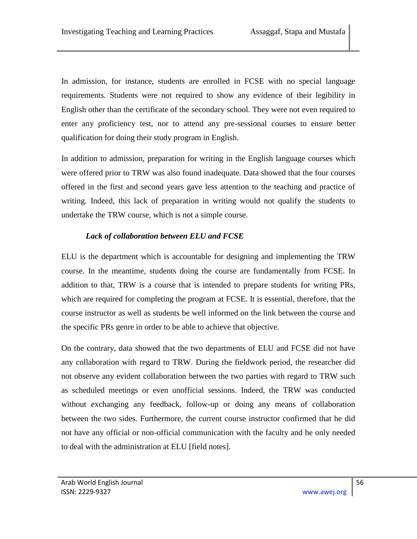In admission, for instance, students are enrolled in FCSE with no special language requirements. Students were not required to show any evidence of their legibility in English other than the certificate of the secondary school. They were not even required to enter any proficiency test, nor to attend any pre-sessional courses to ensure better qualification for doing their study program in English.

In addition to admission, preparation for writing in the English language courses which were offered prior to TRW was also found inadequate. Data showed that the four courses offered in the first and second years gave less attention to the teaching and practice of writing. Indeed, this lack of preparation in writing would not qualify the students to undertake the TRW course, which is not a simple course.

# *Lack of collaboration between ELU and FCSE*

ELU is the department which is accountable for designing and implementing the TRW course. In the meantime, students doing the course are fundamentally from FCSE. In addition to that, TRW is a course that is intended to prepare students for writing PRs, which are required for completing the program at FCSE. It is essential, therefore, that the course instructor as well as students be well informed on the link between the course and the specific PRs genre in order to be able to achieve that objective.

On the contrary, data showed that the two departments of ELU and FCSE did not have any collaboration with regard to TRW. During the fieldwork period, the researcher did not observe any evident collaboration between the two parties with regard to TRW such as scheduled meetings or even unofficial sessions. Indeed, the TRW was conducted without exchanging any feedback, follow-up or doing any means of collaboration between the two sides. Furthermore, the current course instructor confirmed that he did not have any official or non-official communication with the faculty and he only needed to deal with the administration at ELU [field notes].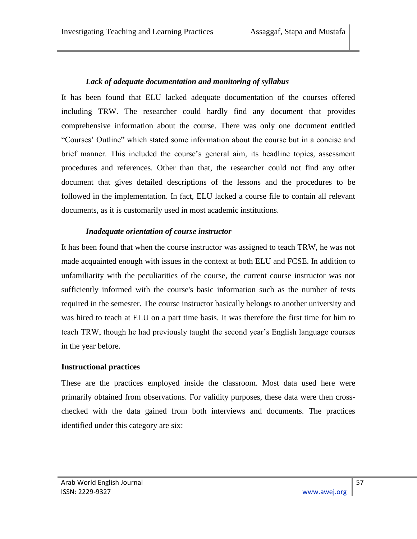#### *Lack of adequate documentation and monitoring of syllabus*

It has been found that ELU lacked adequate documentation of the courses offered including TRW. The researcher could hardly find any document that provides comprehensive information about the course. There was only one document entitled "Courses" Outline" which stated some information about the course but in a concise and brief manner. This included the course's general aim, its headline topics, assessment procedures and references. Other than that, the researcher could not find any other document that gives detailed descriptions of the lessons and the procedures to be followed in the implementation. In fact, ELU lacked a course file to contain all relevant documents, as it is customarily used in most academic institutions.

#### *Inadequate orientation of course instructor*

It has been found that when the course instructor was assigned to teach TRW, he was not made acquainted enough with issues in the context at both ELU and FCSE. In addition to unfamiliarity with the peculiarities of the course, the current course instructor was not sufficiently informed with the course's basic information such as the number of tests required in the semester. The course instructor basically belongs to another university and was hired to teach at ELU on a part time basis. It was therefore the first time for him to teach TRW, though he had previously taught the second year's English language courses in the year before.

#### **Instructional practices**

These are the practices employed inside the classroom. Most data used here were primarily obtained from observations. For validity purposes, these data were then crosschecked with the data gained from both interviews and documents. The practices identified under this category are six: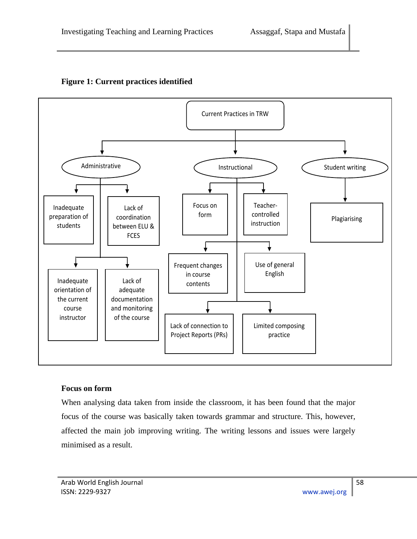

### **Figure 1: Current practices identified**

#### **Focus on form**

When analysing data taken from inside the classroom, it has been found that the major focus of the course was basically taken towards grammar and structure. This, however, affected the main job improving writing. The writing lessons and issues were largely minimised as a result.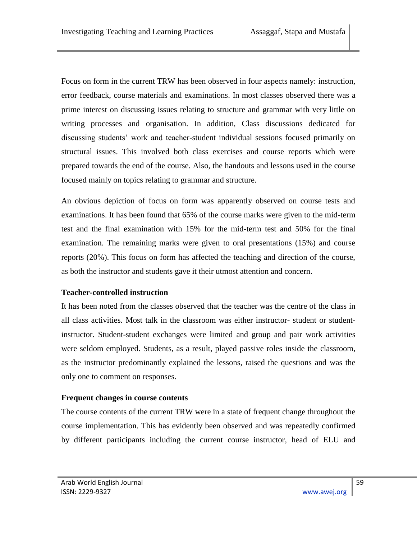Focus on form in the current TRW has been observed in four aspects namely: instruction, error feedback, course materials and examinations. In most classes observed there was a prime interest on discussing issues relating to structure and grammar with very little on writing processes and organisation. In addition, Class discussions dedicated for discussing students' work and teacher-student individual sessions focused primarily on structural issues. This involved both class exercises and course reports which were prepared towards the end of the course. Also, the handouts and lessons used in the course focused mainly on topics relating to grammar and structure.

An obvious depiction of focus on form was apparently observed on course tests and examinations. It has been found that 65% of the course marks were given to the mid-term test and the final examination with 15% for the mid-term test and 50% for the final examination. The remaining marks were given to oral presentations (15%) and course reports (20%). This focus on form has affected the teaching and direction of the course, as both the instructor and students gave it their utmost attention and concern.

# **Teacher-controlled instruction**

It has been noted from the classes observed that the teacher was the centre of the class in all class activities. Most talk in the classroom was either instructor- student or studentinstructor. Student-student exchanges were limited and group and pair work activities were seldom employed. Students, as a result, played passive roles inside the classroom, as the instructor predominantly explained the lessons, raised the questions and was the only one to comment on responses.

### **Frequent changes in course contents**

The course contents of the current TRW were in a state of frequent change throughout the course implementation. This has evidently been observed and was repeatedly confirmed by different participants including the current course instructor, head of ELU and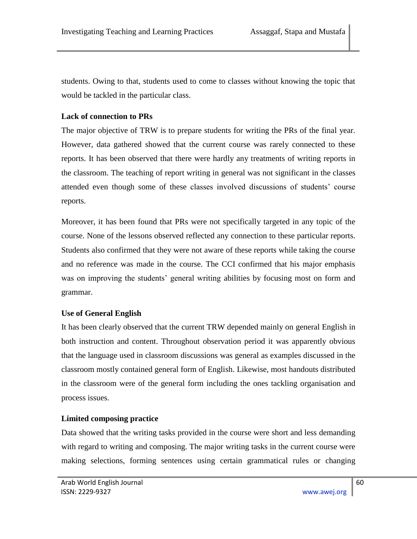students. Owing to that, students used to come to classes without knowing the topic that would be tackled in the particular class.

### **Lack of connection to PRs**

The major objective of TRW is to prepare students for writing the PRs of the final year. However, data gathered showed that the current course was rarely connected to these reports. It has been observed that there were hardly any treatments of writing reports in the classroom. The teaching of report writing in general was not significant in the classes attended even though some of these classes involved discussions of students' course reports.

Moreover, it has been found that PRs were not specifically targeted in any topic of the course. None of the lessons observed reflected any connection to these particular reports. Students also confirmed that they were not aware of these reports while taking the course and no reference was made in the course. The CCI confirmed that his major emphasis was on improving the students' general writing abilities by focusing most on form and grammar.

# **Use of General English**

It has been clearly observed that the current TRW depended mainly on general English in both instruction and content. Throughout observation period it was apparently obvious that the language used in classroom discussions was general as examples discussed in the classroom mostly contained general form of English. Likewise, most handouts distributed in the classroom were of the general form including the ones tackling organisation and process issues.

# **Limited composing practice**

Data showed that the writing tasks provided in the course were short and less demanding with regard to writing and composing. The major writing tasks in the current course were making selections, forming sentences using certain grammatical rules or changing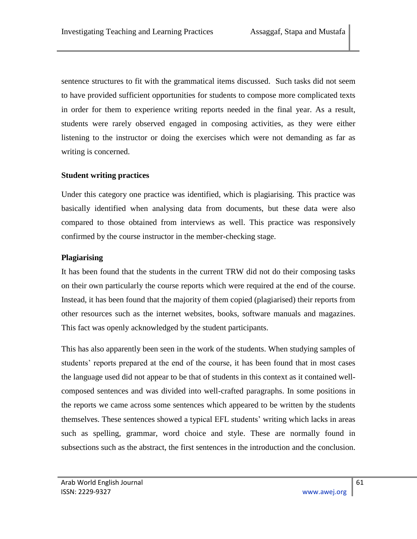sentence structures to fit with the grammatical items discussed. Such tasks did not seem to have provided sufficient opportunities for students to compose more complicated texts in order for them to experience writing reports needed in the final year. As a result, students were rarely observed engaged in composing activities, as they were either listening to the instructor or doing the exercises which were not demanding as far as writing is concerned.

### **Student writing practices**

Under this category one practice was identified, which is plagiarising. This practice was basically identified when analysing data from documents, but these data were also compared to those obtained from interviews as well. This practice was responsively confirmed by the course instructor in the member-checking stage.

### **Plagiarising**

It has been found that the students in the current TRW did not do their composing tasks on their own particularly the course reports which were required at the end of the course. Instead, it has been found that the majority of them copied (plagiarised) their reports from other resources such as the internet websites, books, software manuals and magazines. This fact was openly acknowledged by the student participants.

This has also apparently been seen in the work of the students. When studying samples of students' reports prepared at the end of the course, it has been found that in most cases the language used did not appear to be that of students in this context as it contained wellcomposed sentences and was divided into well-crafted paragraphs. In some positions in the reports we came across some sentences which appeared to be written by the students themselves. These sentences showed a typical EFL students' writing which lacks in areas such as spelling, grammar, word choice and style. These are normally found in subsections such as the abstract, the first sentences in the introduction and the conclusion.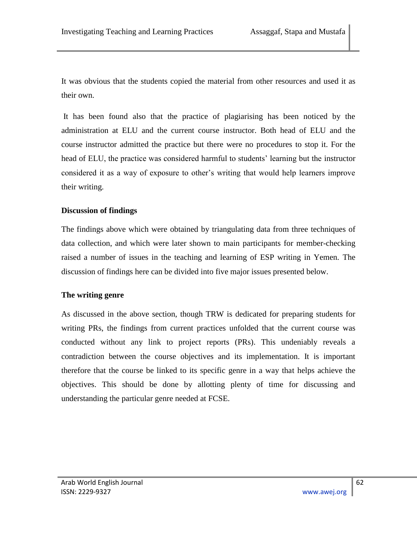It was obvious that the students copied the material from other resources and used it as their own.

It has been found also that the practice of plagiarising has been noticed by the administration at ELU and the current course instructor. Both head of ELU and the course instructor admitted the practice but there were no procedures to stop it. For the head of ELU, the practice was considered harmful to students' learning but the instructor considered it as a way of exposure to other's writing that would help learners improve their writing.

### **Discussion of findings**

The findings above which were obtained by triangulating data from three techniques of data collection, and which were later shown to main participants for member-checking raised a number of issues in the teaching and learning of ESP writing in Yemen. The discussion of findings here can be divided into five major issues presented below.

### **The writing genre**

As discussed in the above section, though TRW is dedicated for preparing students for writing PRs, the findings from current practices unfolded that the current course was conducted without any link to project reports (PRs). This undeniably reveals a contradiction between the course objectives and its implementation. It is important therefore that the course be linked to its specific genre in a way that helps achieve the objectives. This should be done by allotting plenty of time for discussing and understanding the particular genre needed at FCSE.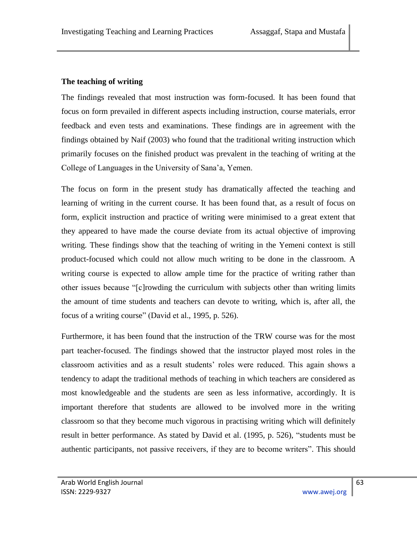### **The teaching of writing**

The findings revealed that most instruction was form-focused. It has been found that focus on form prevailed in different aspects including instruction, course materials, error feedback and even tests and examinations. These findings are in agreement with the findings obtained by Naif (2003) who found that the traditional writing instruction which primarily focuses on the finished product was prevalent in the teaching of writing at the College of Languages in the University of Sana'a, Yemen.

The focus on form in the present study has dramatically affected the teaching and learning of writing in the current course. It has been found that, as a result of focus on form, explicit instruction and practice of writing were minimised to a great extent that they appeared to have made the course deviate from its actual objective of improving writing. These findings show that the teaching of writing in the Yemeni context is still product-focused which could not allow much writing to be done in the classroom. A writing course is expected to allow ample time for the practice of writing rather than other issues because "[c]rowding the curriculum with subjects other than writing limits the amount of time students and teachers can devote to writing, which is, after all, the focus of a writing course" (David et al., 1995, p. 526).

Furthermore, it has been found that the instruction of the TRW course was for the most part teacher-focused. The findings showed that the instructor played most roles in the classroom activities and as a result students' roles were reduced. This again shows a tendency to adapt the traditional methods of teaching in which teachers are considered as most knowledgeable and the students are seen as less informative, accordingly. It is important therefore that students are allowed to be involved more in the writing classroom so that they become much vigorous in practising writing which will definitely result in better performance. As stated by David et al. (1995, p. 526), "students must be authentic participants, not passive receivers, if they are to become writers". This should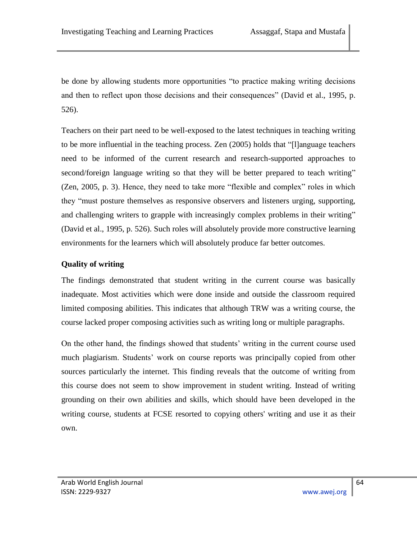be done by allowing students more opportunities "to practice making writing decisions and then to reflect upon those decisions and their consequences" (David et al., 1995, p. 526).

Teachers on their part need to be well-exposed to the latest techniques in teaching writing to be more influential in the teaching process. Zen (2005) holds that "[I]anguage teachers need to be informed of the current research and research-supported approaches to second/foreign language writing so that they will be better prepared to teach writing" (Zen, 2005, p. 3). Hence, they need to take more "flexible and complex" roles in which they "must posture themselves as responsive observers and listeners urging, supporting, and challenging writers to grapple with increasingly complex problems in their writing" (David et al., 1995, p. 526). Such roles will absolutely provide more constructive learning environments for the learners which will absolutely produce far better outcomes.

### **Quality of writing**

The findings demonstrated that student writing in the current course was basically inadequate. Most activities which were done inside and outside the classroom required limited composing abilities. This indicates that although TRW was a writing course, the course lacked proper composing activities such as writing long or multiple paragraphs.

On the other hand, the findings showed that students' writing in the current course used much plagiarism. Students' work on course reports was principally copied from other sources particularly the internet. This finding reveals that the outcome of writing from this course does not seem to show improvement in student writing. Instead of writing grounding on their own abilities and skills, which should have been developed in the writing course, students at FCSE resorted to copying others' writing and use it as their own.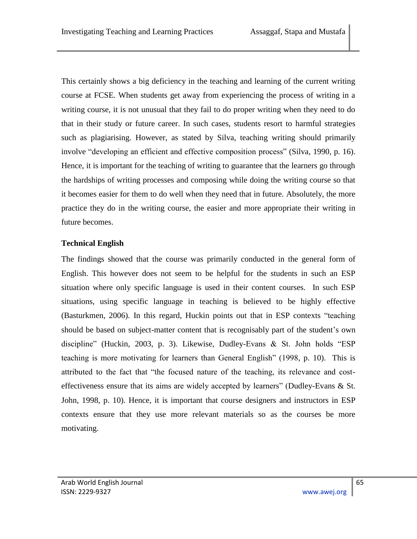This certainly shows a big deficiency in the teaching and learning of the current writing course at FCSE. When students get away from experiencing the process of writing in a writing course, it is not unusual that they fail to do proper writing when they need to do that in their study or future career. In such cases, students resort to harmful strategies such as plagiarising. However, as stated by Silva, teaching writing should primarily involve "developing an efficient and effective composition process" (Silva, 1990, p. 16). Hence, it is important for the teaching of writing to guarantee that the learners go through the hardships of writing processes and composing while doing the writing course so that it becomes easier for them to do well when they need that in future. Absolutely, the more practice they do in the writing course, the easier and more appropriate their writing in future becomes.

### **Technical English**

The findings showed that the course was primarily conducted in the general form of English. This however does not seem to be helpful for the students in such an ESP situation where only specific language is used in their content courses. In such ESP situations, using specific language in teaching is believed to be highly effective (Basturkmen, 2006). In this regard, Huckin points out that in ESP contexts "teaching should be based on subject-matter content that is recognisably part of the student's own discipline" (Huckin, 2003, p. 3). Likewise, Dudley-Evans & St. John holds "ESP teaching is more motivating for learners than General English" (1998, p. 10). This is attributed to the fact that "the focused nature of the teaching, its relevance and costeffectiveness ensure that its aims are widely accepted by learners" (Dudley-Evans  $\&$  St. John, 1998, p. 10). Hence, it is important that course designers and instructors in ESP contexts ensure that they use more relevant materials so as the courses be more motivating.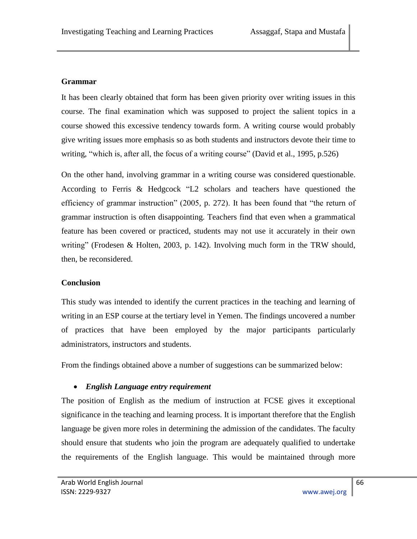### **Grammar**

It has been clearly obtained that form has been given priority over writing issues in this course. The final examination which was supposed to project the salient topics in a course showed this excessive tendency towards form. A writing course would probably give writing issues more emphasis so as both students and instructors devote their time to writing, "which is, after all, the focus of a writing course" (David et al., 1995, p.526)

On the other hand, involving grammar in a writing course was considered questionable. According to Ferris & Hedgcock "L2 scholars and teachers have questioned the efficiency of grammar instruction"  $(2005, p. 272)$ . It has been found that "the return of grammar instruction is often disappointing. Teachers find that even when a grammatical feature has been covered or practiced, students may not use it accurately in their own writing"(Frodesen & Holten, 2003, p. 142). Involving much form in the TRW should, then, be reconsidered.

### **Conclusion**

This study was intended to identify the current practices in the teaching and learning of writing in an ESP course at the tertiary level in Yemen. The findings uncovered a number of practices that have been employed by the major participants particularly administrators, instructors and students.

From the findings obtained above a number of suggestions can be summarized below:

# *English Language entry requirement*

The position of English as the medium of instruction at FCSE gives it exceptional significance in the teaching and learning process. It is important therefore that the English language be given more roles in determining the admission of the candidates. The faculty should ensure that students who join the program are adequately qualified to undertake the requirements of the English language. This would be maintained through more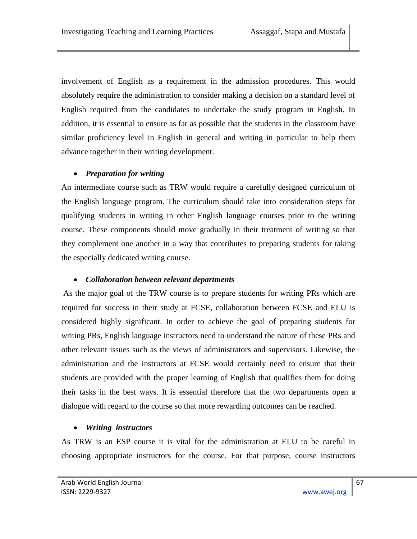involvement of English as a requirement in the admission procedures. This would absolutely require the administration to consider making a decision on a standard level of English required from the candidates to undertake the study program in English. In addition, it is essential to ensure as far as possible that the students in the classroom have similar proficiency level in English in general and writing in particular to help them advance together in their writing development.

# *Preparation for writing*

An intermediate course such as TRW would require a carefully designed curriculum of the English language program. The curriculum should take into consideration steps for qualifying students in writing in other English language courses prior to the writing course. These components should move gradually in their treatment of writing so that they complement one another in a way that contributes to preparing students for taking the especially dedicated writing course.

# *Collaboration between relevant departments*

As the major goal of the TRW course is to prepare students for writing PRs which are required for success in their study at FCSE, collaboration between FCSE and ELU is considered highly significant. In order to achieve the goal of preparing students for writing PRs, English language instructors need to understand the nature of these PRs and other relevant issues such as the views of administrators and supervisors. Likewise, the administration and the instructors at FCSE would certainly need to ensure that their students are provided with the proper learning of English that qualifies them for doing their tasks in the best ways. It is essential therefore that the two departments open a dialogue with regard to the course so that more rewarding outcomes can be reached.

# *Writing instructors*

As TRW is an ESP course it is vital for the administration at ELU to be careful in choosing appropriate instructors for the course. For that purpose, course instructors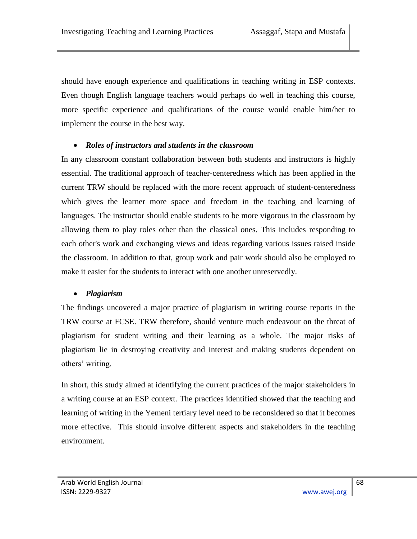should have enough experience and qualifications in teaching writing in ESP contexts. Even though English language teachers would perhaps do well in teaching this course, more specific experience and qualifications of the course would enable him/her to implement the course in the best way.

### *Roles of instructors and students in the classroom*

In any classroom constant collaboration between both students and instructors is highly essential. The traditional approach of teacher-centeredness which has been applied in the current TRW should be replaced with the more recent approach of student-centeredness which gives the learner more space and freedom in the teaching and learning of languages. The instructor should enable students to be more vigorous in the classroom by allowing them to play roles other than the classical ones. This includes responding to each other's work and exchanging views and ideas regarding various issues raised inside the classroom. In addition to that, group work and pair work should also be employed to make it easier for the students to interact with one another unreservedly.

### *Plagiarism*

The findings uncovered a major practice of plagiarism in writing course reports in the TRW course at FCSE. TRW therefore, should venture much endeavour on the threat of plagiarism for student writing and their learning as a whole. The major risks of plagiarism lie in destroying creativity and interest and making students dependent on others'writing.

In short, this study aimed at identifying the current practices of the major stakeholders in a writing course at an ESP context. The practices identified showed that the teaching and learning of writing in the Yemeni tertiary level need to be reconsidered so that it becomes more effective. This should involve different aspects and stakeholders in the teaching environment.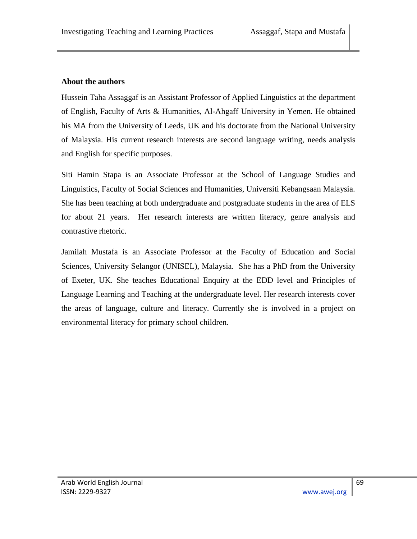### **About the authors**

Hussein Taha Assaggaf is an Assistant Professor of Applied Linguistics at the department of English, Faculty of Arts & Humanities, Al-Ahgaff University in Yemen. He obtained his MA from the University of Leeds, UK and his doctorate from the National University of Malaysia. His current research interests are second language writing, needs analysis and English for specific purposes.

Siti Hamin Stapa is an Associate Professor at the School of Language Studies and Linguistics, Faculty of Social Sciences and Humanities, Universiti Kebangsaan Malaysia. She has been teaching at both undergraduate and postgraduate students in the area of ELS for about 21 years. Her research interests are written literacy, genre analysis and contrastive rhetoric.

Jamilah Mustafa is an Associate Professor at the Faculty of Education and Social Sciences, University Selangor (UNISEL), Malaysia. She has a PhD from the University of Exeter, UK. She teaches Educational Enquiry at the EDD level and Principles of Language Learning and Teaching at the undergraduate level. Her research interests cover the areas of language, culture and literacy. Currently she is involved in a project on environmental literacy for primary school children.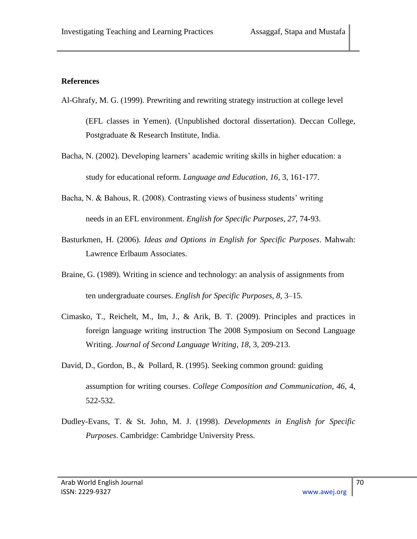#### **References**

- Al-Ghrafy, M. G. (1999). Prewriting and rewriting strategy instruction at college level (EFL classes in Yemen). (Unpublished doctoral dissertation). Deccan College, Postgraduate & Research Institute, India.
- Bacha, N. (2002). Developing learners' academic writing skills in higher education: a study for educational reform. *Language and Education*, *16,* 3, 161-177.
- Bacha, N. & Bahous, R. (2008). Contrasting views of business students' writing needs in an EFL environment. *English for Specific Purposes*, *27*, 74-93.
- Basturkmen, H. (2006). *Ideas and Options in English for Specific Purposes*. Mahwah: Lawrence Erlbaum Associates.
- Braine, G. (1989). Writing in science and technology: an analysis of assignments from ten undergraduate courses. *English for Specific Purposes*, *8*, 3–15.
- Cimasko, T., Reichelt, M., Im, J., & Arik, B. T. (2009). Principles and practices in foreign language writing instruction The 2008 Symposium on Second Language Writing. *Journal of Second Language Writing, 18,* 3, 209-213.
- David, D., Gordon, B., & Pollard, R. (1995). Seeking common ground: guiding assumption for writing courses. *College Composition and Communication, 46*, 4, 522-532.
- Dudley-Evans, T. & St. John, M. J. (1998). *Developments in English for Specific Purposes*. Cambridge: Cambridge University Press.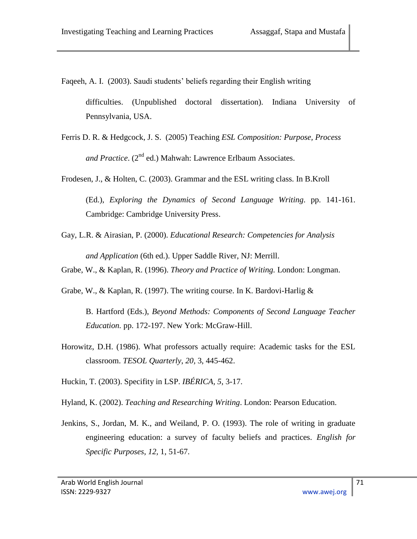Faqeeh, A. I. (2003). Saudi students' beliefs regarding their English writing

difficulties. (Unpublished doctoral dissertation). Indiana University of Pennsylvania, USA.

- Ferris D. R. & Hedgcock, J. S. (2005) Teaching *ESL Composition: Purpose, Process and Practice*. (2<sup>nd</sup> ed.) Mahwah: Lawrence Erlbaum Associates.
- Frodesen, J., & Holten, C. (2003). Grammar and the ESL writing class. In B.Kroll (Ed.), *Exploring the Dynamics of Second Language Writing*. pp. 141-161. Cambridge: Cambridge University Press.
- Gay, L.R. & Airasian, P. (2000). *Educational Research: Competencies for Analysis and Application* (6th ed.). Upper Saddle River, NJ: Merrill.
- Grabe, W., & Kaplan, R. (1996). *Theory and Practice of Writing.* London: Longman.
- Grabe, W., & Kaplan, R. (1997). The writing course. In K. Bardovi-Harlig &

B. Hartford (Eds.), *Beyond Methods: Components of Second Language Teacher Education.* pp. 172-197. New York: McGraw-Hill.

- Horowitz, D.H. (1986). What professors actually require: Academic tasks for the ESL classroom. *TESOL Quarterly*, *20,* 3, 445-462.
- Huckin, T. (2003). Specifity in LSP. *IBÉRICA, 5*, 3-17.
- Hyland, K. (2002). *Teaching and Researching Writing*. London: Pearson Education.
- Jenkins, S., Jordan, M. K., and Weiland, P. O. (1993). The role of writing in graduate engineering education: a survey of faculty beliefs and practices. *English for Specific Purposes*, *12,* 1, 51-67.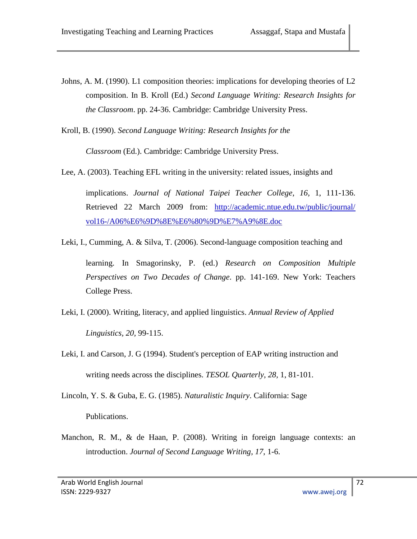Johns, A. M. (1990). L1 composition theories: implications for developing theories of L2 composition. In B. Kroll (Ed.) *Second Language Writing: Research Insights for the Classroom*. pp. 24-36. Cambridge: Cambridge University Press.

Kroll, B. (1990). *Second Language Writing: Research Insights for the* 

*Classroom* (Ed.). Cambridge: Cambridge University Press.

Lee, A. (2003). Teaching EFL writing in the university: related issues, insights and

implications. *Journal of National Taipei Teacher College*, *16,* 1, 111-136. Retrieved 22 March 2009 from: [http://academic.ntue.edu.tw/public/journal/](http://academic.ntue.edu.tw/public/journal/vol16-/A06%E6%9D%8E%E6%80%9D%E7%A9%8E.doc)  [vol16-/A06%E6%9D%8E%E6%80%9D%E7%A9%8E.doc](http://academic.ntue.edu.tw/public/journal/vol16-/A06%E6%9D%8E%E6%80%9D%E7%A9%8E.doc)

Leki, I., Cumming, A. & Silva, T. (2006). Second-language composition teaching and

learning. In Smagorinsky, P. (ed.) *Research on Composition Multiple Perspectives on Two Decades of Change*. pp. 141-169. New York: Teachers College Press.

- Leki, I. (2000). Writing, literacy, and applied linguistics. *Annual Review of Applied Linguistics, 20,* 99-115.
- Leki, I. and Carson, J. G (1994). Student's perception of EAP writing instruction and writing needs across the disciplines. *TESOL Quarterly*, *28,* 1, 81-101.

Lincoln, Y. S. & Guba, E. G. (1985). *Naturalistic Inquiry*. California: Sage Publications.

Manchon, R. M., & de Haan, P. (2008). Writing in foreign language contexts: an introduction. *Journal of Second Language Writing, 17*, 1-6.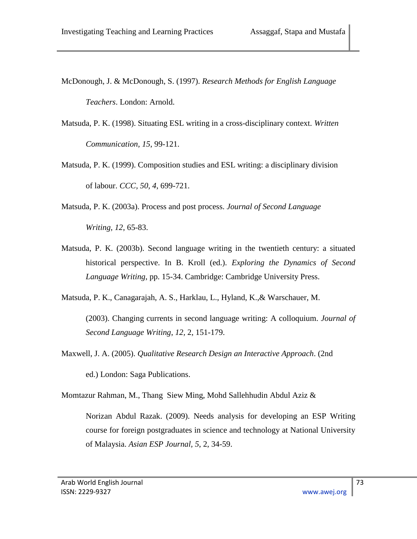McDonough, J. & McDonough, S. (1997). *Research Methods for English Language Teachers*. London: Arnold.

- Matsuda, P. K. (1998). Situating ESL writing in a cross-disciplinary context. *Written Communication, 15*, 99-121.
- Matsuda, P. K. (1999). Composition studies and ESL writing: a disciplinary division of labour. *CCC, 50, 4*, 699-721.
- Matsuda, P. K. (2003a). Process and post process. *Journal of Second Language Writing, 12*, 65-83.
- Matsuda, P. K. (2003b). Second language writing in the twentieth century: a situated historical perspective. In B. Kroll (ed.). *Exploring the Dynamics of Second Language Writing*, pp. 15-34. Cambridge: Cambridge University Press.

Matsuda, P. K., Canagarajah, A. S., Harklau, L., Hyland, K.,& Warschauer, M.

(2003). Changing currents in second language writing: A colloquium. *Journal of Second Language Writing*, *12,* 2, 151-179.

Maxwell, J. A. (2005). *Qualitative Research Design an Interactive Approach*. (2nd

ed.) London: Saga Publications.

Momtazur Rahman, M., Thang Siew Ming, Mohd Sallehhudin Abdul Aziz &

Norizan Abdul Razak. (2009). Needs analysis for developing an ESP Writing course for foreign postgraduates in science and technology at National University of Malaysia. *Asian ESP Journal, 5*, 2, 34-59.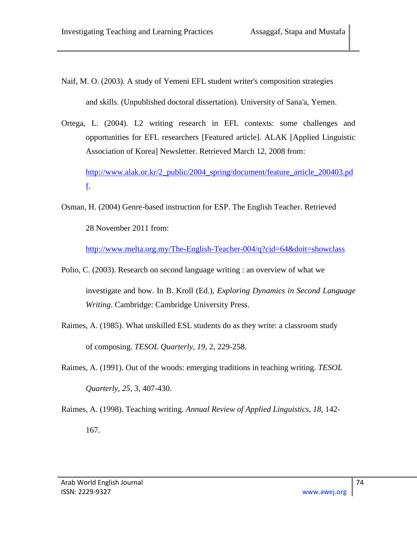- Naif, M. O. (2003). A study of Yemeni EFL student writer's composition strategies and skills. (Unpublished doctoral dissertation). University of Sana'a, Yemen.
- Ortega, L. (2004). L2 writing research in EFL contexts: some challenges and opportunities for EFL researchers [Featured article]. ALAK [Applied Linguistic Association of Korea] Newsletter. Retrieved March 12, 2008 from:

[http://www.alak.or.kr/2\\_public/2004\\_spring/document/feature\\_article\\_200403.pd](http://www.alak.or.kr/2_public/2004_spring/document/feature_article_200403.pdf) [f.](http://www.alak.or.kr/2_public/2004_spring/document/feature_article_200403.pdf)

Osman, H. (2004) Genre-based instruction for ESP. The English Teacher. Retrieved 28 November 2011 from:

http://ww<u>w.melta.org.my/The-English-Teacher-004/q?cid=64&doit=showclass</u>

- Polio, C. (2003). Research on second language writing : an overview of what we investigate and how. In B. Kroll (Ed.), *Exploring Dynamics in Second Language Writing*. Cambridge: Cambridge University Press.
- Raimes, A. (1985). What unskilled ESL students do as they write: a classroom study of composing. *TESOL Quarterly*, *19,* 2, 229-258.
- Raimes, A. (1991). Out of the woods: emerging traditions in teaching writing. *TESOL Quarterly, 25,* 3, 407-430.
- Raimes, A. (1998). Teaching writing. *Annual Review of Applied Linguistics*, *18,* 142- 167.